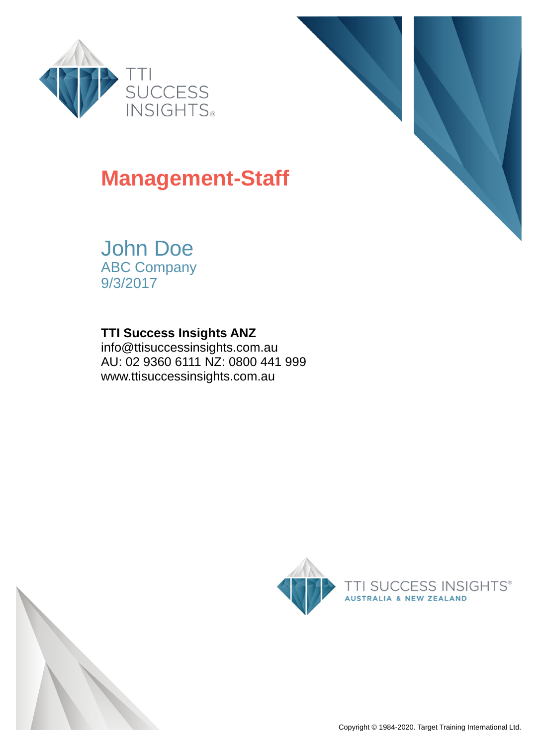



## **Management-Staff**

John Doe ABC Company 9/3/2017

### **TTI Success Insights ANZ**

info@ttisuccessinsights.com.au AU: 02 9360 6111 NZ: 0800 441 999 www.ttisuccessinsights.com.au

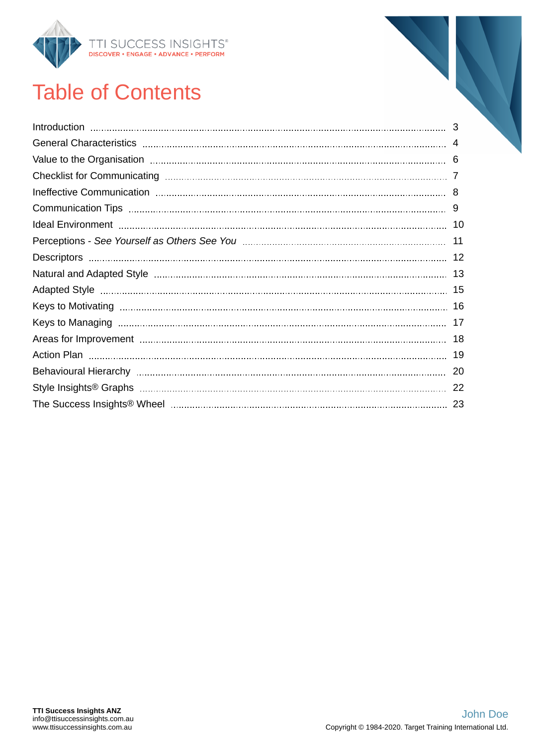

# Table of Contents

| 6   |
|-----|
|     |
| 8   |
| 9   |
|     |
| 11  |
| -12 |
| 13  |
| 15  |
| 16  |
| 17  |
| 18  |
| 19  |
| 20  |
| 22  |
| 23  |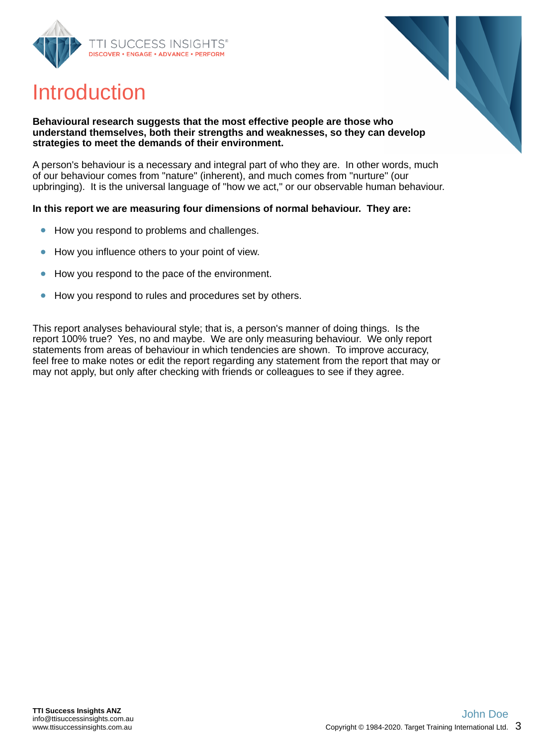<span id="page-2-0"></span>



## Introduction

#### **Behavioural research suggests that the most effective people are those who understand themselves, both their strengths and weaknesses, so they can develop strategies to meet the demands of their environment.**

A person's behaviour is a necessary and integral part of who they are. In other words, much of our behaviour comes from "nature" (inherent), and much comes from "nurture" (our upbringing). It is the universal language of "how we act," or our observable human behaviour.

#### **In this report we are measuring four dimensions of normal behaviour. They are:**

- How you respond to problems and challenges.  $\bullet$
- How you influence others to your point of view.  $\bullet$
- How you respond to the pace of the environment.
- How you respond to rules and procedures set by others.

This report analyses behavioural style; that is, a person's manner of doing things. Is the report 100% true? Yes, no and maybe. We are only measuring behaviour. We only report statements from areas of behaviour in which tendencies are shown. To improve accuracy, feel free to make notes or edit the report regarding any statement from the report that may or may not apply, but only after checking with friends or colleagues to see if they agree.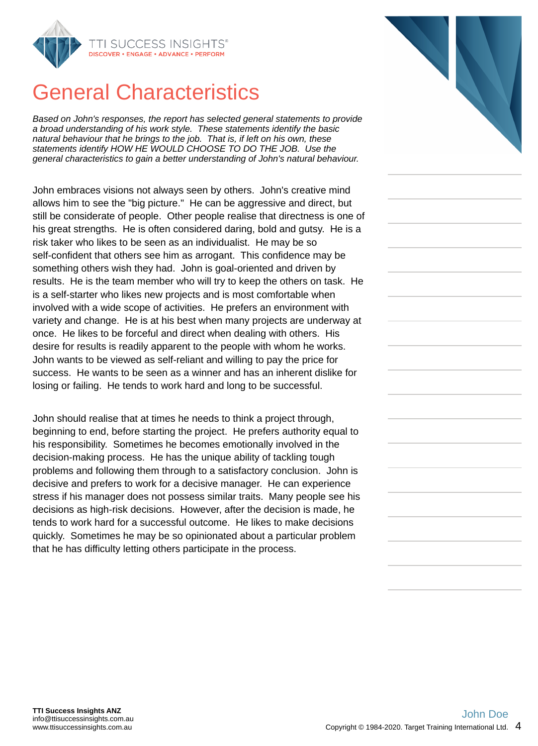<span id="page-3-0"></span>

## General Characteristics

*Based on John's responses, the report has selected general statements to provide a broad understanding of his work style. These statements identify the basic natural behaviour that he brings to the job. That is, if left on his own, these statements identify HOW HE WOULD CHOOSE TO DO THE JOB. Use the general characteristics to gain a better understanding of John's natural behaviour.*

John embraces visions not always seen by others. John's creative mind allows him to see the "big picture." He can be aggressive and direct, but still be considerate of people. Other people realise that directness is one of his great strengths. He is often considered daring, bold and gutsy. He is a risk taker who likes to be seen as an individualist. He may be so self-confident that others see him as arrogant. This confidence may be something others wish they had. John is goal-oriented and driven by results. He is the team member who will try to keep the others on task. He is a self-starter who likes new projects and is most comfortable when involved with a wide scope of activities. He prefers an environment with variety and change. He is at his best when many projects are underway at once. He likes to be forceful and direct when dealing with others. His desire for results is readily apparent to the people with whom he works. John wants to be viewed as self-reliant and willing to pay the price for success. He wants to be seen as a winner and has an inherent dislike for losing or failing. He tends to work hard and long to be successful.

John should realise that at times he needs to think a project through, beginning to end, before starting the project. He prefers authority equal to his responsibility. Sometimes he becomes emotionally involved in the decision-making process. He has the unique ability of tackling tough problems and following them through to a satisfactory conclusion. John is decisive and prefers to work for a decisive manager. He can experience stress if his manager does not possess similar traits. Many people see his decisions as high-risk decisions. However, after the decision is made, he tends to work hard for a successful outcome. He likes to make decisions quickly. Sometimes he may be so opinionated about a particular problem that he has difficulty letting others participate in the process.

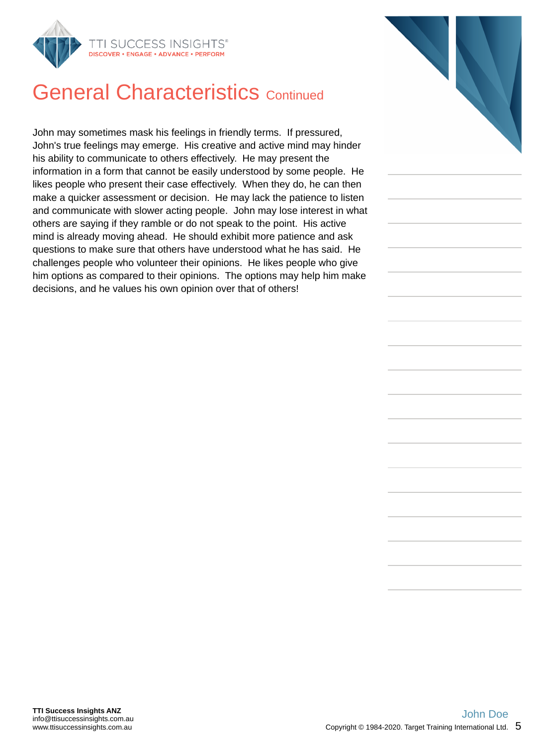

## **General Characteristics Continued**

John may sometimes mask his feelings in friendly terms. If pressured, John's true feelings may emerge. His creative and active mind may hinder his ability to communicate to others effectively. He may present the information in a form that cannot be easily understood by some people. He likes people who present their case effectively. When they do, he can then make a quicker assessment or decision. He may lack the patience to listen and communicate with slower acting people. John may lose interest in what others are saying if they ramble or do not speak to the point. His active mind is already moving ahead. He should exhibit more patience and ask questions to make sure that others have understood what he has said. He challenges people who volunteer their opinions. He likes people who give him options as compared to their opinions. The options may help him make decisions, and he values his own opinion over that of others!

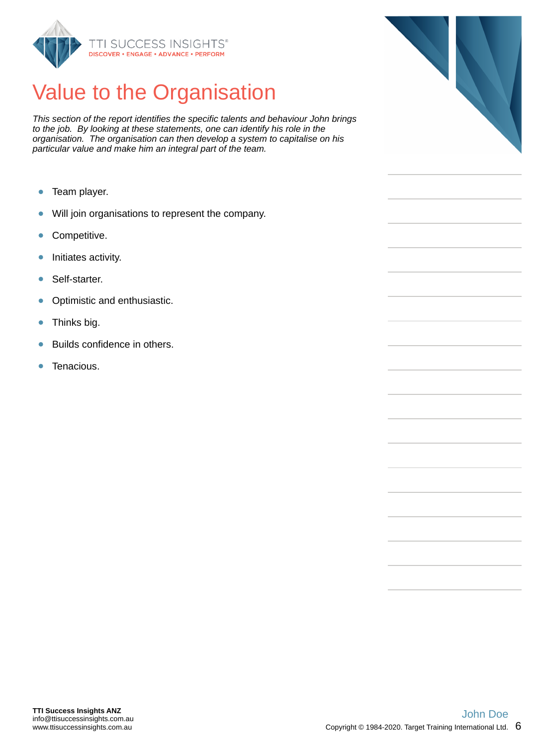<span id="page-5-0"></span>

# Value to the Organisation

*This section of the report identifies the specific talents and behaviour John brings to the job. By looking at these statements, one can identify his role in the organisation. The organisation can then develop a system to capitalise on his particular value and make him an integral part of the team.*

- Team player.  $\bullet$
- $\bullet$ Will join organisations to represent the company.
- Competitive.  $\bullet$
- Initiates activity.  $\bullet$
- ä Self-starter.
- Optimistic and enthusiastic.  $\bullet$
- Thinks big.  $\bullet$
- Builds confidence in others.  $\bullet$
- $\bullet$ Tenacious.

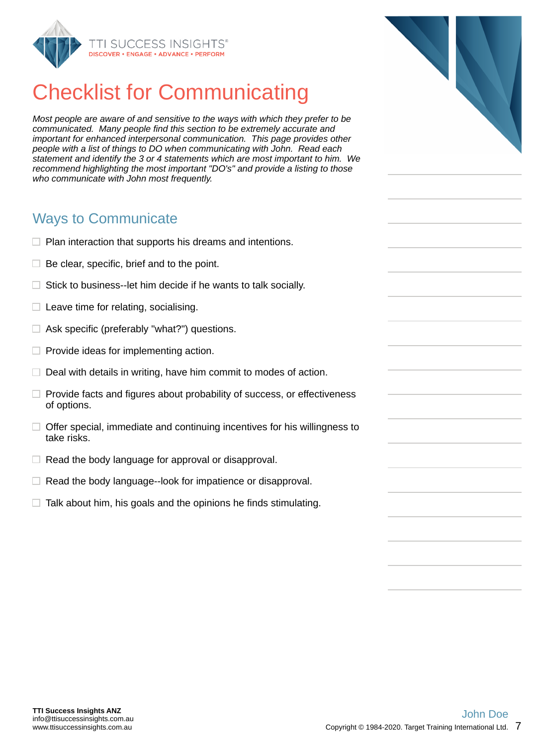<span id="page-6-0"></span>

# Checklist for Communicating

*Most people are aware of and sensitive to the ways with which they prefer to be communicated. Many people find this section to be extremely accurate and important for enhanced interpersonal communication. This page provides other people with a list of things to DO when communicating with John. Read each statement and identify the 3 or 4 statements which are most important to him. We recommend highlighting the most important "DO's" and provide a listing to those who communicate with John most frequently.*

### Ways to Communicate

- $\Box$  Plan interaction that supports his dreams and intentions.
- $\Box$  Be clear, specific, brief and to the point.
- $\Box$  Stick to business--let him decide if he wants to talk socially.
- $\Box$  Leave time for relating, socialising.
- $\Box$  Ask specific (preferably "what?") questions.
- $\Box$  Provide ideas for implementing action.
- $\Box$  Deal with details in writing, have him commit to modes of action.
- $\Box$  Provide facts and figures about probability of success, or effectiveness of options.
- $\Box$  Offer special, immediate and continuing incentives for his willingness to take risks.
- $\Box$  Read the body language for approval or disapproval.
- $\Box$  Read the body language--look for impatience or disapproval.
- $\Box$  Talk about him, his goals and the opinions he finds stimulating.

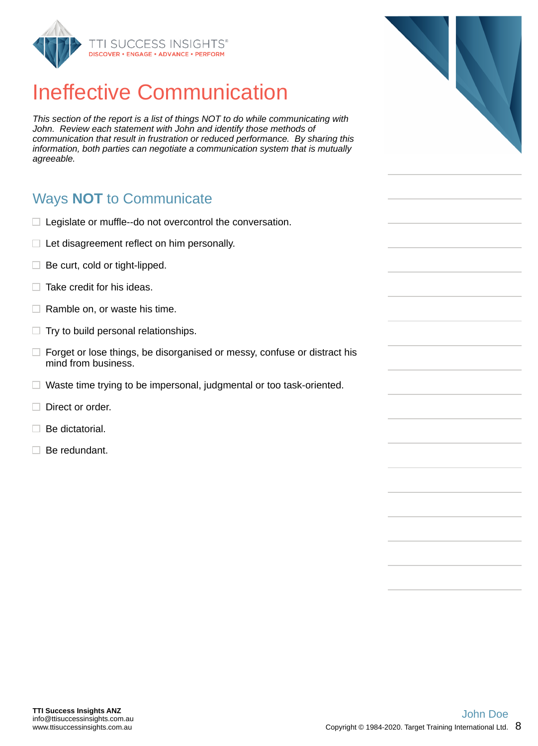<span id="page-7-0"></span>

# Ineffective Communication

*This section of the report is a list of things NOT to do while communicating with John. Review each statement with John and identify those methods of communication that result in frustration or reduced performance. By sharing this information, both parties can negotiate a communication system that is mutually agreeable.*

## Ways **NOT** to Communicate

- $\Box$  Legislate or muffle--do not overcontrol the conversation.
- $\Box$  Let disagreement reflect on him personally.
- $\Box$  Be curt, cold or tight-lipped.
- $\Box$  Take credit for his ideas.
- $\Box$  Ramble on, or waste his time.
- $\Box$  Try to build personal relationships.
- $\Box$  Forget or lose things, be disorganised or messy, confuse or distract his mind from business.
- $\Box$  Waste time trying to be impersonal, judgmental or too task-oriented.
- $\Box$  Direct or order.
- $\Box$  Be dictatorial.
- $\Box$  Be redundant.



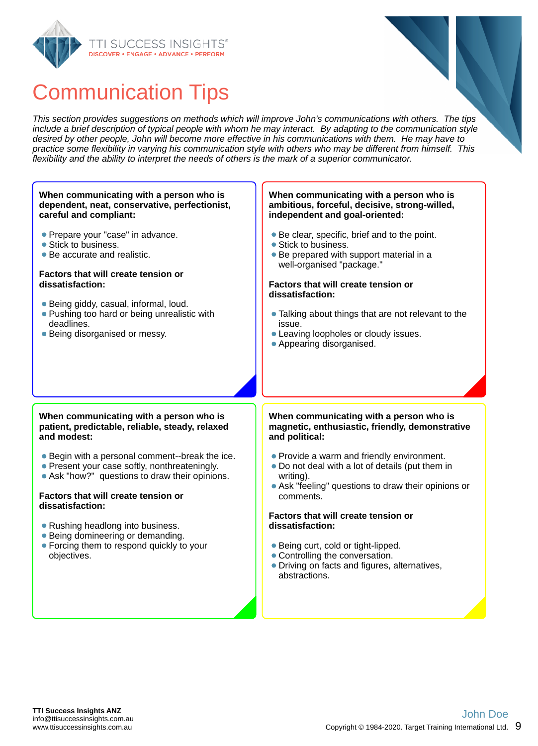<span id="page-8-0"></span>



## Communication Tips

*This section provides suggestions on methods which will improve John's communications with others. The tips include a brief description of typical people with whom he may interact. By adapting to the communication style desired by other people, John will become more effective in his communications with them. He may have to practice some flexibility in varying his communication style with others who may be different from himself. This flexibility and the ability to interpret the needs of others is the mark of a superior communicator.*

#### **When communicating with a person who is ambitious, forceful, decisive, strong-willed, independent and goal-oriented:** Be clear, specific, brief and to the point. • Stick to business. • Be prepared with support material in a well-organised "package." **Factors that will create tension or dissatisfaction:** • Talking about things that are not relevant to the issue. Leaving loopholes or cloudy issues. Appearing disorganised. **When communicating with a person who is magnetic, enthusiastic, friendly, demonstrative and political:** • Provide a warm and friendly environment. Do not deal with a lot of details (put them in writing). Ask "feeling" questions to draw their opinions or comments. **Factors that will create tension or dissatisfaction:** ● Being curt, cold or tight-lipped. • Controlling the conversation. Driving on facts and figures, alternatives, abstractions. **When communicating with a person who is patient, predictable, reliable, steady, relaxed and modest:** Begin with a personal comment--break the ice. • Present your case softly, nonthreateningly. Ask "how?" questions to draw their opinions. **Factors that will create tension or dissatisfaction:** • Rushing headlong into business. • Being domineering or demanding. Forcing them to respond quickly to your objectives. **When communicating with a person who is dependent, neat, conservative, perfectionist, careful and compliant:** • Prepare your "case" in advance. • Stick to business. Be accurate and realistic. **Factors that will create tension or dissatisfaction:** Being giddy, casual, informal, loud. • Pushing too hard or being unrealistic with deadlines. Being disorganised or messy.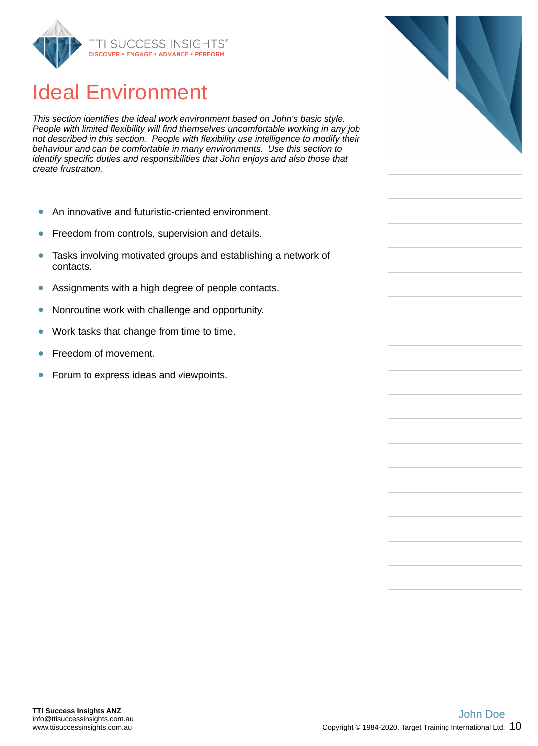<span id="page-9-0"></span>

## Ideal Environment

*This section identifies the ideal work environment based on John's basic style. People with limited flexibility will find themselves uncomfortable working in any job not described in this section. People with flexibility use intelligence to modify their behaviour and can be comfortable in many environments. Use this section to identify specific duties and responsibilities that John enjoys and also those that create frustration.*

- An innovative and futuristic-oriented environment.  $\bullet$
- Freedom from controls, supervision and details.  $\bullet$
- Tasks involving motivated groups and establishing a network of  $\bullet$ contacts.
- Assignments with a high degree of people contacts.  $\bullet$
- Nonroutine work with challenge and opportunity.  $\bullet$
- ŏ Work tasks that change from time to time.
- Freedom of movement.
- ŏ Forum to express ideas and viewpoints.

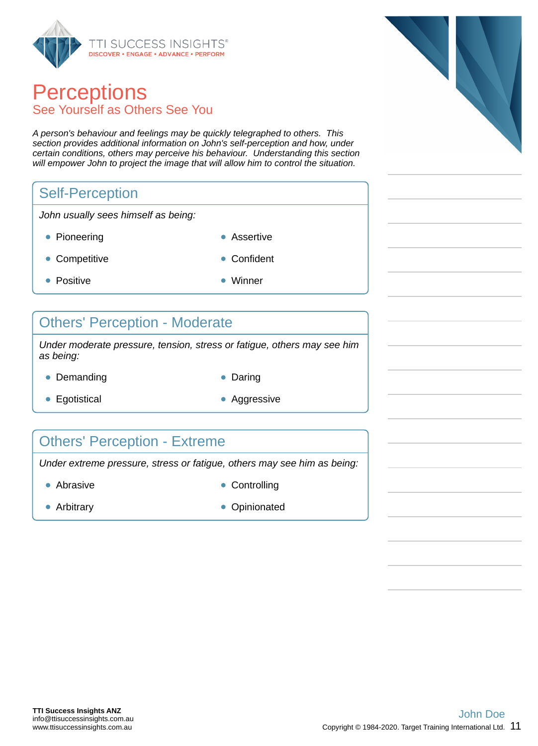<span id="page-10-0"></span>

## **Perceptions** See Yourself as Others See You

*A person's behaviour and feelings may be quickly telegraphed to others. This section provides additional information on John's self-perception and how, under certain conditions, others may perceive his behaviour. Understanding this section will empower John to project the image that will allow him to control the situation.*

## Self-Perception

*John usually sees himself as being:*

- Pioneering **Assertive** 
	-
- Competitive **Confident** 
	-
- Positive **Winner** 
	-

#### Others' Perception - Moderate

*Under moderate pressure, tension, stress or fatigue, others may see him as being:*

- Demanding **Daring Communist Communist Communist Communist Communist Communist Communist Communist Communist Communist Communist Communist Communist Communist Communist Communist Communist Communist Communist Communist Co** 
	-
- Egotistical **Aggressive** Aggressive
- 

## Others' Perception - Extreme

*Under extreme pressure, stress or fatigue, others may see him as being:*

- Abrasive **Controlling**
- 
- 
- Arbitrary **Opinionated Opinionated**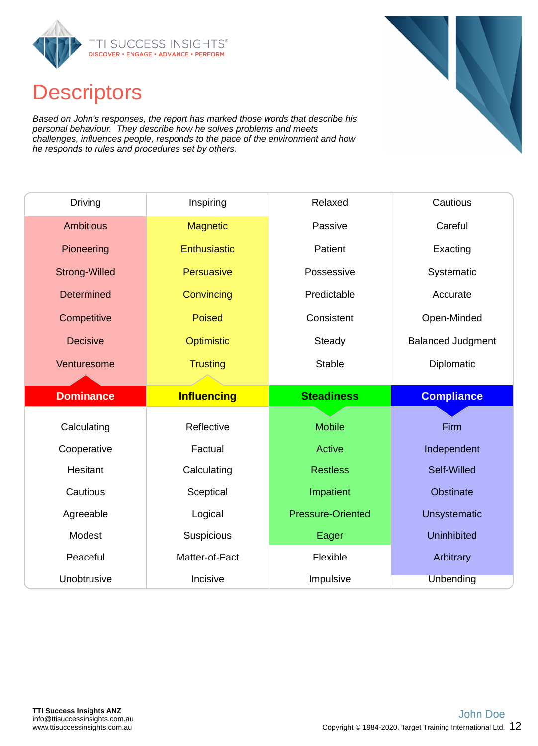<span id="page-11-0"></span>

## **Descriptors**

*Based on John's responses, the report has marked those words that describe his personal behaviour. They describe how he solves problems and meets challenges, influences people, responds to the pace of the environment and how he responds to rules and procedures set by others.*

| <b>Driving</b>       | Inspiring          | Relaxed                  | Cautious                 |
|----------------------|--------------------|--------------------------|--------------------------|
| <b>Ambitious</b>     | <b>Magnetic</b>    | Passive                  | Careful                  |
| Pioneering           | Enthusiastic       | Patient                  | Exacting                 |
| <b>Strong-Willed</b> | Persuasive         | Possessive               | Systematic               |
| <b>Determined</b>    | Convincing         | Predictable              | Accurate                 |
| Competitive          | <b>Poised</b>      | Consistent               | Open-Minded              |
| <b>Decisive</b>      | Optimistic         | Steady                   | <b>Balanced Judgment</b> |
| Venturesome          | <b>Trusting</b>    | <b>Stable</b>            | Diplomatic               |
|                      |                    |                          |                          |
|                      |                    |                          |                          |
| <b>Dominance</b>     | <b>Influencing</b> | <b>Steadiness</b>        | <b>Compliance</b>        |
|                      |                    |                          |                          |
| Calculating          | Reflective         | <b>Mobile</b>            | Firm                     |
| Cooperative          | Factual            | <b>Active</b>            | Independent              |
| Hesitant             | Calculating        | <b>Restless</b>          | Self-Willed              |
| Cautious             | Sceptical          | Impatient                | <b>Obstinate</b>         |
| Agreeable            | Logical            | <b>Pressure-Oriented</b> | <b>Unsystematic</b>      |
| Modest               | <b>Suspicious</b>  | Eager                    | <b>Uninhibited</b>       |
| Peaceful             | Matter-of-Fact     | Flexible                 | Arbitrary                |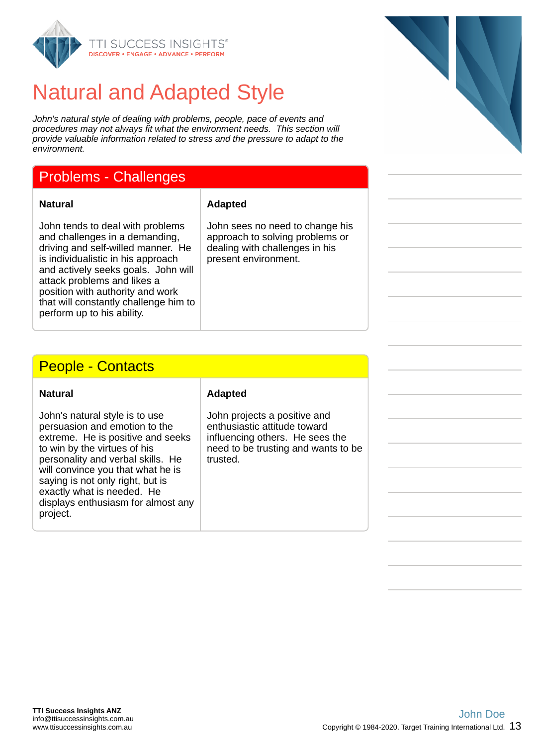<span id="page-12-0"></span>

## Natural and Adapted Style

*John's natural style of dealing with problems, people, pace of events and procedures may not always fit what the environment needs. This section will provide valuable information related to stress and the pressure to adapt to the environment.*

## Problems - Challenges

#### **Natural Adapted**

John tends to deal with problems and challenges in a demanding, driving and self-willed manner. He is individualistic in his approach and actively seeks goals. John will attack problems and likes a position with authority and work that will constantly challenge him to perform up to his ability.

John sees no need to change his approach to solving problems or dealing with challenges in his present environment.

#### People - Contacts

| <b>Natural</b>                                                                                                                                                                                                                                                                                                                     | <b>Adapted</b>                                                                                                                                     |
|------------------------------------------------------------------------------------------------------------------------------------------------------------------------------------------------------------------------------------------------------------------------------------------------------------------------------------|----------------------------------------------------------------------------------------------------------------------------------------------------|
| John's natural style is to use<br>persuasion and emotion to the<br>extreme. He is positive and seeks<br>to win by the virtues of his<br>personality and verbal skills. He<br>will convince you that what he is<br>saying is not only right, but is<br>exactly what is needed. He<br>displays enthusiasm for almost any<br>project. | John projects a positive and<br>enthusiastic attitude toward<br>influencing others. He sees the<br>need to be trusting and wants to be<br>trusted. |

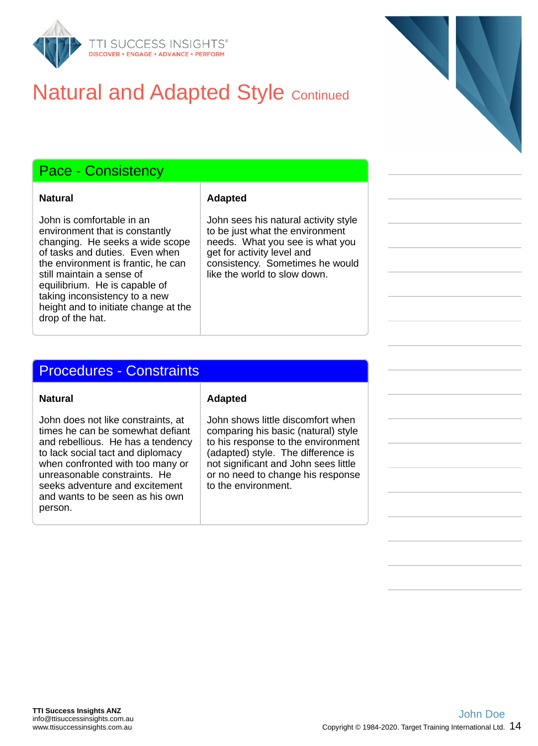

## **Natural and Adapted Style Continued**

### Pace - Consistency

John is comfortable in an environment that is constantly changing. He seeks a wide scope of tasks and duties. Even when the environment is frantic, he can still maintain a sense of equilibrium. He is capable of taking inconsistency to a new height and to initiate change at the drop of the hat.

#### **Natural Adapted**

John sees his natural activity style to be just what the environment needs. What you see is what you get for activity level and consistency. Sometimes he would like the world to slow down.

#### Procedures - Constraints

John does not like constraints, at times he can be somewhat defiant and rebellious. He has a tendency to lack social tact and diplomacy when confronted with too many or unreasonable constraints. He seeks adventure and excitement and wants to be seen as his own person.

#### **Natural Adapted**

John shows little discomfort when comparing his basic (natural) style to his response to the environment (adapted) style. The difference is not significant and John sees little or no need to change his response to the environment.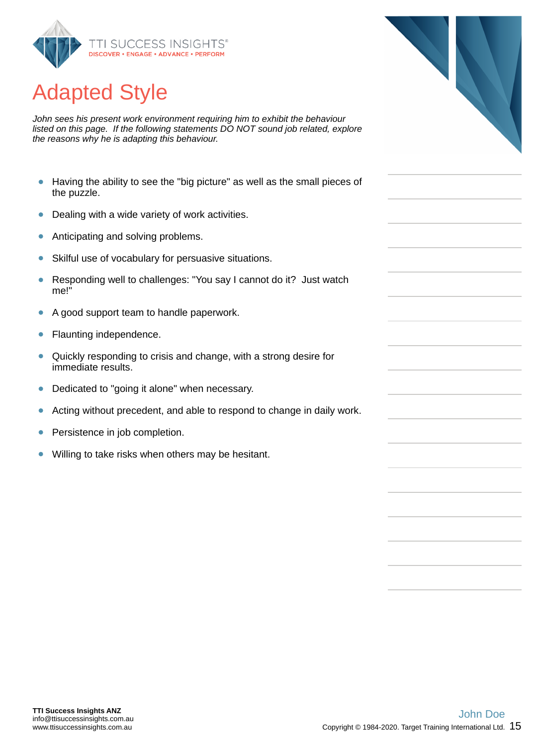<span id="page-14-0"></span>

# Adapted Style

*John sees his present work environment requiring him to exhibit the behaviour listed on this page. If the following statements DO NOT sound job related, explore the reasons why he is adapting this behaviour.*

- Having the ability to see the "big picture" as well as the small pieces of  $\bullet$ the puzzle.
- $\bullet$ Dealing with a wide variety of work activities.
- $\bullet$ Anticipating and solving problems.
- $\bullet$ Skilful use of vocabulary for persuasive situations.
- Responding well to challenges: "You say I cannot do it? Just watch  $\bullet$ me!"
- A good support team to handle paperwork.  $\bullet$
- Ŏ Flaunting independence.
- Quickly responding to crisis and change, with a strong desire for  $\bullet$ immediate results.
- $\bullet$ Dedicated to "going it alone" when necessary.
- Acting without precedent, and able to respond to change in daily work.  $\bullet$
- ŏ Persistence in job completion.
- Willing to take risks when others may be hesitant.  $\bullet$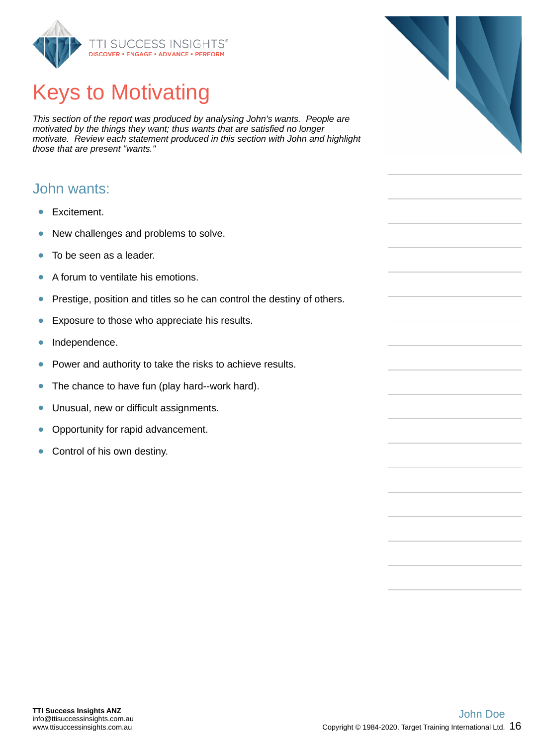<span id="page-15-0"></span>

# Keys to Motivating

*This section of the report was produced by analysing John's wants. People are motivated by the things they want; thus wants that are satisfied no longer motivate. Review each statement produced in this section with John and highlight those that are present "wants."*

#### John wants:

- Excitement.
- New challenges and problems to solve.  $\bullet$
- $\bullet$ To be seen as a leader.
- $\bullet$ A forum to ventilate his emotions.
- $\bullet$ Prestige, position and titles so he can control the destiny of others.
- ŏ Exposure to those who appreciate his results.
- $\bullet$ Independence.
- Power and authority to take the risks to achieve results.  $\bullet$
- The chance to have fun (play hard--work hard).  $\bullet$
- Unusual, new or difficult assignments.  $\bullet$
- Opportunity for rapid advancement.  $\bullet$
- Control of his own destiny.  $\bullet$

info@ttisuccessinsights.com.au www.ttisuccessinsights.com.au



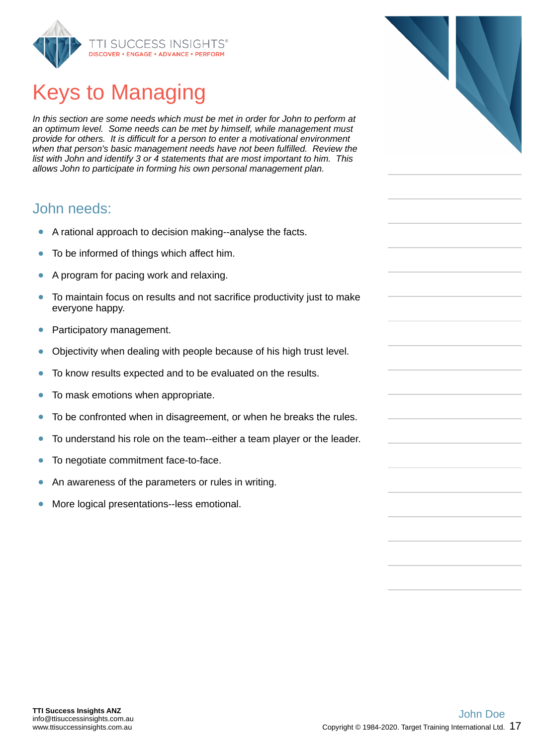<span id="page-16-0"></span>

# Keys to Managing

*In this section are some needs which must be met in order for John to perform at an optimum level. Some needs can be met by himself, while management must provide for others. It is difficult for a person to enter a motivational environment when that person's basic management needs have not been fulfilled. Review the list with John and identify 3 or 4 statements that are most important to him. This allows John to participate in forming his own personal management plan.*

#### John needs:

- A rational approach to decision making--analyse the facts.  $\bullet$
- To be informed of things which affect him.
- A program for pacing work and relaxing.
- To maintain focus on results and not sacrifice productivity just to make  $\bullet$ everyone happy.
- Participatory management.  $\bullet$
- Objectivity when dealing with people because of his high trust level.  $\bullet$
- ò To know results expected and to be evaluated on the results.
- $\bullet$ To mask emotions when appropriate.
- To be confronted when in disagreement, or when he breaks the rules.  $\bullet$
- To understand his role on the team--either a team player or the leader.  $\bullet$
- To negotiate commitment face-to-face.  $\bullet$
- An awareness of the parameters or rules in writing.
- More logical presentations--less emotional.

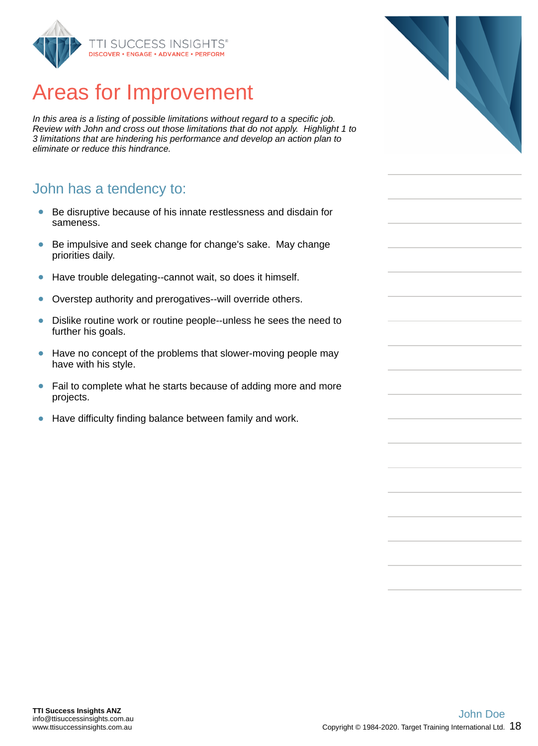<span id="page-17-0"></span>

## Areas for Improvement

*In this area is a listing of possible limitations without regard to a specific job. Review with John and cross out those limitations that do not apply. Highlight 1 to 3 limitations that are hindering his performance and develop an action plan to eliminate or reduce this hindrance.*

#### John has a tendency to:

- Be disruptive because of his innate restlessness and disdain for  $\bullet$ sameness.
- Be impulsive and seek change for change's sake. May change  $\bullet$ priorities daily.
- Have trouble delegating--cannot wait, so does it himself.  $\bullet$
- $\bullet$ Overstep authority and prerogatives--will override others.
- $\bullet$ Dislike routine work or routine people--unless he sees the need to further his goals.
- $\bullet$ Have no concept of the problems that slower-moving people may have with his style.
- Fail to complete what he starts because of adding more and more  $\bullet$ projects.
- Have difficulty finding balance between family and work.  $\bullet$

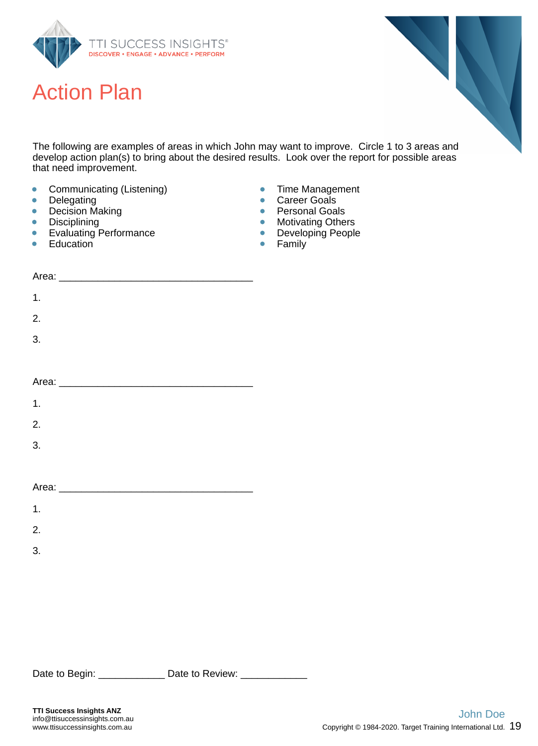<span id="page-18-0"></span>

## Action Plan



The following are examples of areas in which John may want to improve. Circle 1 to 3 areas and develop action plan(s) to bring about the desired results. Look over the report for possible areas that need improvement.

- $\bullet$ Communicating (Listening)
- $\bullet$ Delegating
- Decision Making  $\bullet$
- **Disciplining**  $\bullet$
- Evaluating Performance  $\bullet$
- **Education** ò
- $\bullet$ Time Management
- Career Goals  $\bullet$
- Personal Goals  $\bullet$
- Motivating Others  $\bullet$
- Developing People  $\bullet$
- $\bullet$ Family

| $\mathbf 1$ .    |  |
|------------------|--|
| 2.               |  |
| $\overline{3}$ . |  |
|                  |  |
|                  |  |
| $\mathbf 1$ .    |  |
| 2.               |  |
| $\overline{3}$ . |  |
|                  |  |
|                  |  |
| 1.               |  |

2.

3.

Date to Begin: \_\_\_\_\_\_\_\_\_\_\_\_\_\_\_ Date to Review: \_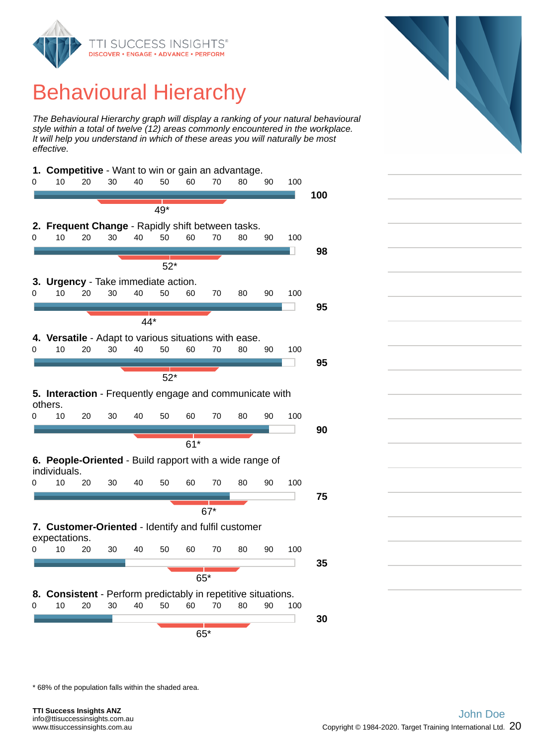<span id="page-19-0"></span>

## Behavioural Hierarchy

*The Behavioural Hierarchy graph will display a ranking of your natural behavioural style within a total of twelve (12) areas commonly encountered in the workplace. It will help you understand in which of these areas you will naturally be most effective.*



\* 68% of the population falls within the shaded area.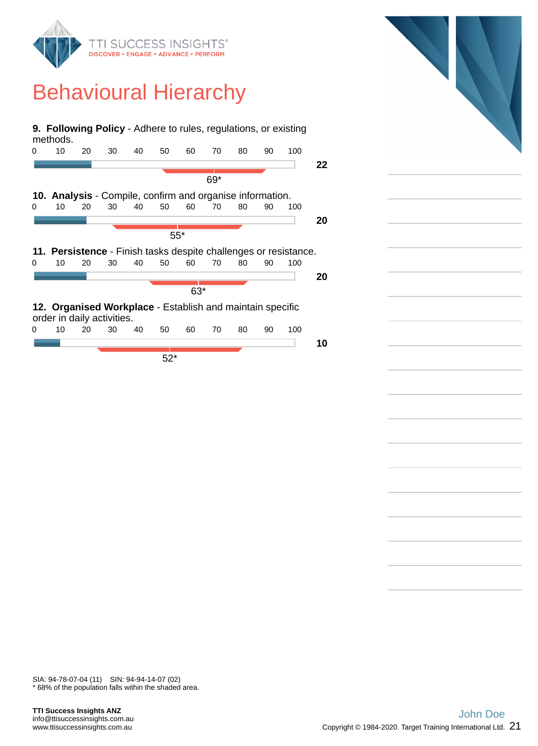

## Behavioural Hierarchy

|       | <b>9. Following Policy</b> - Adhere to rules, regulations, or existing<br>methods. |    |    |    |       |    |     |    |    |     |    |
|-------|------------------------------------------------------------------------------------|----|----|----|-------|----|-----|----|----|-----|----|
| 0     | 10                                                                                 | 20 | 30 | 40 | 50    | 60 | 70  | 80 | 90 | 100 |    |
|       |                                                                                    |    |    |    |       |    |     |    |    |     | 22 |
|       |                                                                                    |    |    |    |       |    | 69* |    |    |     |    |
|       | <b>10. Analysis - Compile, confirm and organise information.</b>                   |    |    |    |       |    |     |    |    |     |    |
| 0     | 10                                                                                 | 20 | 30 | 40 | 50    | 60 | 70  | 80 | 90 | 100 |    |
|       |                                                                                    |    |    |    |       |    |     |    |    |     | 20 |
| $55*$ |                                                                                    |    |    |    |       |    |     |    |    |     |    |
|       | 11. Persistence - Finish tasks despite challenges or resistance.                   |    |    |    |       |    |     |    |    |     |    |
| 0     | 10                                                                                 | 20 | 30 | 40 | 50    | 60 | 70  | 80 | 90 | 100 |    |
|       |                                                                                    |    |    |    |       |    |     |    |    |     | 20 |
|       |                                                                                    |    |    |    |       |    |     |    |    |     |    |
|       | $63*$                                                                              |    |    |    |       |    |     |    |    |     |    |
|       | 12. Organised Workplace - Establish and maintain specific                          |    |    |    |       |    |     |    |    |     |    |
|       | order in daily activities.                                                         |    |    |    |       |    |     |    |    |     |    |
| 0     | 10                                                                                 | 20 | 30 | 40 | 50    | 60 | 70  | 80 | 90 | 100 |    |
|       |                                                                                    |    |    |    |       |    |     |    |    |     | 10 |
|       |                                                                                    |    |    |    | $52*$ |    |     |    |    |     |    |

\* 68% of the population falls within the shaded area. SIA: 94-78-07-04 (11) SIN: 94-94-14-07 (02)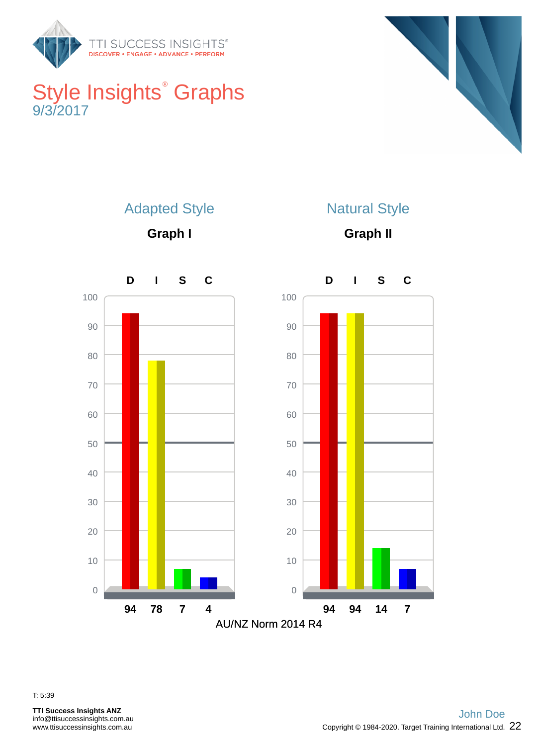<span id="page-21-0"></span>

## Style Insights<sup>®</sup> Graphs 9/3/2017





**Graph I**



**Graph II**



T: 5:39

**TTI Success Insights ANZ** info@ttisuccessinsights.com.au www.ttisuccessinsights.com.au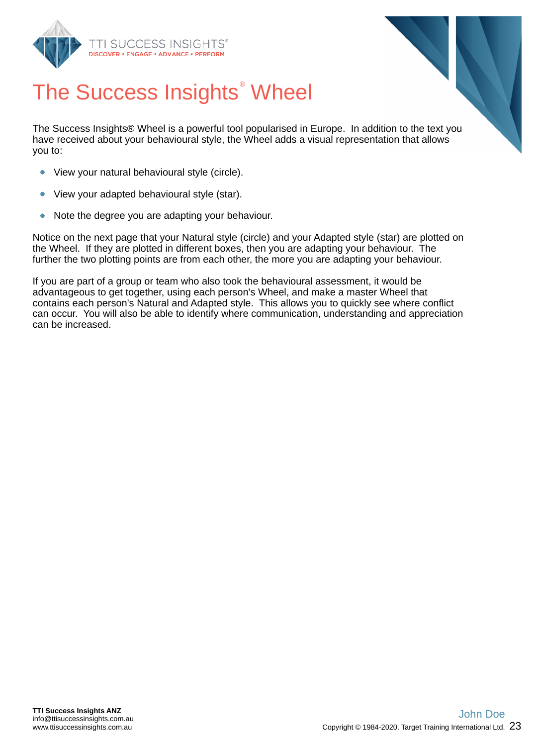<span id="page-22-0"></span>



# The Success Insights<sup>®</sup> Wheel

The Success Insights® Wheel is a powerful tool popularised in Europe. In addition to the text you have received about your behavioural style, the Wheel adds a visual representation that allows you to:

- View your natural behavioural style (circle).
- View your adapted behavioural style (star).
- Note the degree you are adapting your behaviour.  $\bullet$

Notice on the next page that your Natural style (circle) and your Adapted style (star) are plotted on the Wheel. If they are plotted in different boxes, then you are adapting your behaviour. The further the two plotting points are from each other, the more you are adapting your behaviour.

If you are part of a group or team who also took the behavioural assessment, it would be advantageous to get together, using each person's Wheel, and make a master Wheel that contains each person's Natural and Adapted style. This allows you to quickly see where conflict can occur. You will also be able to identify where communication, understanding and appreciation can be increased.